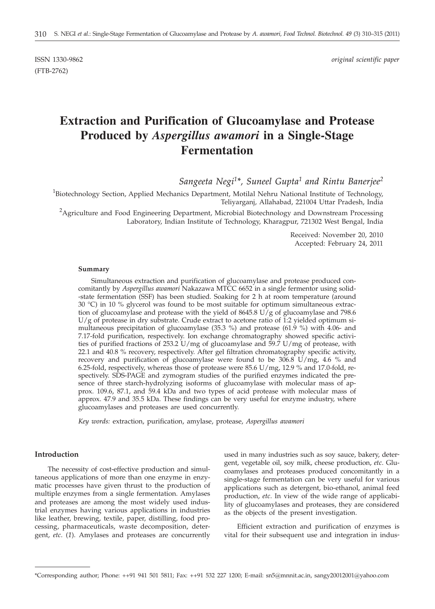(FTB-2762)

ISSN 1330-9862 *original scientific paper*

# **Extraction and Purification of Glucoamylase and Protease Produced by** *Aspergillus awamori* **in a Single-Stage Fermentation**

*Sangeeta Negi1\*, Suneel Gupta1 and Rintu Banerjee2*

<sup>1</sup>Biotechnology Section, Applied Mechanics Department, Motilal Nehru National Institute of Technology, Teliyarganj, Allahabad, 221004 Uttar Pradesh, India

 $^{2}$ Agriculture and Food Engineering Department, Microbial Biotechnology and Downstream Processing Laboratory, Indian Institute of Technology, Kharagpur, 721302 West Bengal, India

> Received: November 20, 2010 Accepted: February 24, 2011

#### **Summary**

Simultaneous extraction and purification of glucoamylase and protease produced concomitantly by *Aspergillus awamori* Nakazawa MTCC 6652 in a single fermentor using solid- -state fermentation (SSF) has been studied. Soaking for 2 h at room temperature (around 30 °C) in 10 % glycerol was found to be most suitable for optimum simultaneous extraction of glucoamylase and protease with the yield of  $8645.8 \text{ U/g}$  of glucoamylase and 798.6  $U/g$  of protease in dry substrate. Crude extract to acetone ratio of 1:2 yielded optimum simultaneous precipitation of glucoamylase (35.3 %) and protease (61.9 %) with 4.06- and 7.17-fold purification, respectively. Ion exchange chromatography showed specific activities of purified fractions of 253.2 U/mg of glucoamylase and 59.7 U/mg of protease, with 22.1 and 40.8 % recovery, respectively. After gel filtration chromatography specific activity, recovery and purification of glucoamylase were found to be  $306.8 \text{ U/mg}$ , 4.6 % and 6.25-fold, respectively, whereas those of protease were  $85.6 \text{ U/mg}$ , 12.9 % and 17.0-fold, respectively. SDS-PAGE and zymogram studies of the purified enzymes indicated the presence of three starch-hydrolyzing isoforms of glucoamylase with molecular mass of approx. 109.6, 87.1, and 59.4 kDa and two types of acid protease with molecular mass of approx. 47.9 and 35.5 kDa. These findings can be very useful for enzyme industry, where glucoamylases and proteases are used concurrently.

*Key words:* extraction, purification, amylase, protease, *Aspergillus awamori*

# **Introduction**

The necessity of cost-effective production and simultaneous applications of more than one enzyme in enzymatic processes have given thrust to the production of multiple enzymes from a single fermentation. Amylases and proteases are among the most widely used industrial enzymes having various applications in industries like leather, brewing, textile, paper, distilling, food processing, pharmaceuticals, waste decomposition, detergent, *etc*. (*1*). Amylases and proteases are concurrently

used in many industries such as soy sauce, bakery, detergent, vegetable oil, soy milk, cheese production, *etc*. Glucoamylases and proteases produced concomitantly in a single-stage fermentation can be very useful for various applications such as detergent, bio-ethanol, animal feed production, *etc*. In view of the wide range of applicability of glucoamylases and proteases, they are considered as the objects of the present investigation.

Efficient extraction and purification of enzymes is vital for their subsequent use and integration in indus-

<sup>\*</sup>Corresponding author; Phone: ++91 941 501 5811; Fax: ++91 532 227 1200; E-mail: sn5@mnnit.ac.in, sangy20012001@yahoo.com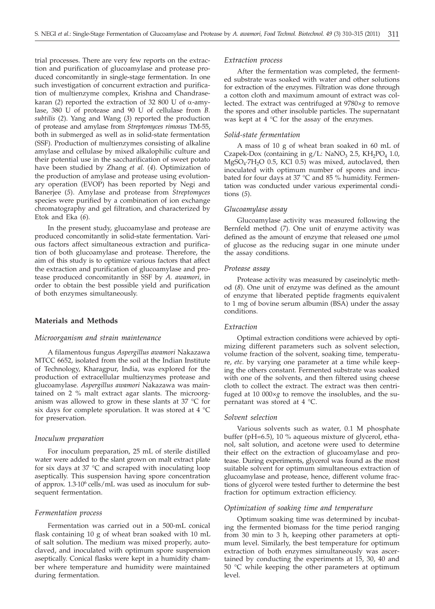trial processes. There are very few reports on the extraction and purification of glucoamylase and protease produced concomitantly in single-stage fermentation. In one such investigation of concurrent extraction and purification of multienzyme complex, Krishna and Chandrasekaran (2) reported the extraction of 32 800 U of  $\alpha$ -amylase, 380 U of protease and 90 U of cellulase from *B. subtilis* (*2*). Yang and Wang (*3*) reported the production of protease and amylase from *Streptomyces rimosus* TM-55, both in submerged as well as in solid-state fermentation (SSF). Production of multienzymes consisting of alkaline amylase and cellulase by mixed alkalophilic culture and their potential use in the saccharification of sweet potato have been studied by Zhang *et al.* (*4*). Optimization of the production of amylase and protease using evolutionary operation (EVOP) has been reported by Negi and Banerjee (*5*). Amylase and protease from *Streptomyces* species were purified by a combination of ion exchange chromatography and gel filtration, and characterized by Etok and Eka (*6*).

In the present study, glucoamylase and protease are produced concomitantly in solid-state fermentation. Various factors affect simultaneous extraction and purification of both glucoamylase and protease. Therefore, the aim of this study is to optimize various factors that affect the extraction and purification of glucoamylase and protease produced concomitantly in SSF by *A. awamori*, in order to obtain the best possible yield and purification of both enzymes simultaneously.

# **Materials and Methods**

## *Microorganism and strain maintenance*

A filamentous fungus *Aspergillus awamori* Nakazawa MTCC 6652, isolated from the soil at the Indian Institute of Technology, Kharagpur, India, was explored for the production of extracellular multienzymes protease and glucoamylase. *Aspergillus awamori* Nakazawa was maintained on 2 % malt extract agar slants. The microorganism was allowed to grow in these slants at 37 °C for six days for complete sporulation. It was stored at 4 °C for preservation.

# *Inoculum preparation*

For inoculum preparation, 25 mL of sterile distilled water were added to the slant grown on malt extract plate for six days at 37 °C and scraped with inoculating loop aseptically. This suspension having spore concentration of approx. 1.3·106 cells/mL was used as inoculum for subsequent fermentation.

## *Fermentation process*

Fermentation was carried out in a 500-mL conical flask containing 10 g of wheat bran soaked with 10 mL of salt solution. The medium was mixed properly, autoclaved, and inoculated with optimum spore suspension aseptically. Conical flasks were kept in a humidity chamber where temperature and humidity were maintained during fermentation.

## *Extraction process*

After the fermentation was completed, the fermented substrate was soaked with water and other solutions for extraction of the enzymes. Filtration was done through a cotton cloth and maximum amount of extract was collected. The extract was centrifuged at 9780×*g* to remove the spores and other insoluble particles. The supernatant was kept at 4 °C for the assay of the enzymes.

# *Solid-state fermentation*

A mass of 10 g of wheat bran soaked in 60 mL of Czapek-Dox (containing in  $g/L$ : NaNO<sub>3</sub> 2.5, KH<sub>2</sub>PO<sub>4</sub> 1.0,  $MgSO<sub>4</sub>·7H<sub>2</sub>O$  0.5, KCl 0.5) was mixed, autoclaved, then inoculated with optimum number of spores and incubated for four days at 37 °C and 85 % humidity. Fermentation was conducted under various experimental conditions (*5*).

# *Glucoamylase assay*

Glucoamylase activity was measured following the Bernfeld method (*7*). One unit of enzyme activity was defined as the amount of enzyme that released one  $\mu$ mol of glucose as the reducing sugar in one minute under the assay conditions.

#### *Protease assay*

Protease activity was measured by caseinolytic method (*8*). One unit of enzyme was defined as the amount of enzyme that liberated peptide fragments equivalent to 1 mg of bovine serum albumin (BSA) under the assay conditions.

# *Extraction*

Optimal extraction conditions were achieved by optimizing different parameters such as solvent selection, volume fraction of the solvent, soaking time, temperature, *etc.* by varying one parameter at a time while keeping the others constant. Fermented substrate was soaked with one of the solvents, and then filtered using cheese cloth to collect the extract. The extract was then centrifuged at 10 000×*g* to remove the insolubles, and the supernatant was stored at 4 °C.

#### *Solvent selection*

Various solvents such as water, 0.1 M phosphate buffer (pH=6.5), 10 % aqueous mixture of glycerol, ethanol, salt solution, and acetone were used to determine their effect on the extraction of glucoamylase and protease. During experiments, glycerol was found as the most suitable solvent for optimum simultaneous extraction of glucoamylase and protease, hence, different volume fractions of glycerol were tested further to determine the best fraction for optimum extraction efficiency.

# *Optimization of soaking time and temperature*

Optimum soaking time was determined by incubating the fermented biomass for the time period ranging from 30 min to 3 h, keeping other parameters at optimum level. Similarly, the best temperature for optimum extraction of both enzymes simultaneously was ascertained by conducting the experiments at 15, 30, 40 and 50 °C while keeping the other parameters at optimum level.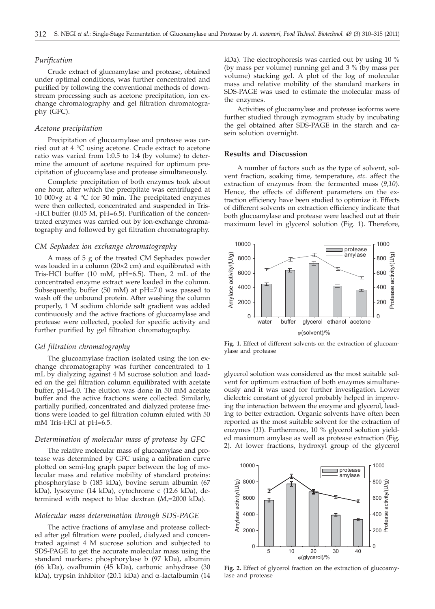# *Purification*

Crude extract of glucoamylase and protease, obtained under optimal conditions, was further concentrated and purified by following the conventional methods of downstream processing such as acetone precipitation, ion exchange chromatography and gel filtration chromatography (GFC).

## *Acetone precipitation*

Precipitation of glucoamylase and protease was carried out at 4 °C using acetone. Crude extract to acetone ratio was varied from 1:0.5 to 1:4 (by volume) to determine the amount of acetone required for optimum precipitation of glucoamylase and protease simultaneously.

Complete precipitation of both enzymes took about one hour, after which the precipitate was centrifuged at 10 000×*g* at 4 °C for 30 min. The precipitated enzymes were then collected, concentrated and suspended in Tris- -HCl buffer (0.05 M, pH=6.5). Purification of the concentrated enzymes was carried out by ion-exchange chromatography and followed by gel filtration chromatography.

## *CM Sephadex ion exchange chromatography*

A mass of 5 g of the treated CM Sephadex powder was loaded in a column (20×2 cm) and equilibrated with Tris-HCl buffer (10 mM, pH=6.5). Then, 2 mL of the concentrated enzyme extract were loaded in the column. Subsequently, buffer (50 mM) at pH=7.0 was passed to wash off the unbound protein. After washing the column properly, 1 M sodium chloride salt gradient was added continuously and the active fractions of glucoamylase and protease were collected, pooled for specific activity and further purified by gel filtration chromatography.

# *Gel filtration chromatography*

The glucoamylase fraction isolated using the ion exchange chromatography was further concentrated to 1 mL by dialyzing against 4 M sucrose solution and loaded on the gel filtration column equilibrated with acetate buffer, pH=4.0. The elution was done in 50 mM acetate buffer and the active fractions were collected. Similarly, partially purified, concentrated and dialyzed protease fractions were loaded to gel filtration column eluted with 50 mM Tris-HCl at pH=6.5.

# *Determination of molecular mass of protease by GFC*

The relative molecular mass of glucoamylase and protease was determined by GFC using a calibration curve plotted on semi-log graph paper between the log of molecular mass and relative mobility of standard proteins: phosphorylase b (185 kDa), bovine serum albumin (67 kDa), lysozyme (14 kDa), cytochrome c (12.6 kDa), determined with respect to blue dextran  $(M_r=2000 \text{ kDa})$ .

## *Molecular mass determination through SDS-PAGE*

The active fractions of amylase and protease collected after gel filtration were pooled, dialyzed and concentrated against 4 M sucrose solution and subjected to SDS-PAGE to get the accurate molecular mass using the standard markers: phosphorylase b (97 kDa), albumin (66 kDa), ovalbumin (45 kDa), carbonic anhydrase (30 kDa), trypsin inhibitor (20.1 kDa) and  $\alpha$ -lactalbumin (14

kDa). The electrophoresis was carried out by using 10 % (by mass per volume) running gel and 3 % (by mass per volume) stacking gel. A plot of the log of molecular mass and relative mobility of the standard markers in SDS-PAGE was used to estimate the molecular mass of the enzymes.

Activities of glucoamylase and protease isoforms were further studied through zymogram study by incubating the gel obtained after SDS-PAGE in the starch and casein solution overnight.

# **Results and Discussion**

A number of factors such as the type of solvent, solvent fraction, soaking time, temperature, *etc*. affect the extraction of enzymes from the fermented mass (*9,10*). Hence, the effects of different parameters on the extraction efficiency have been studied to optimize it. Effects of different solvents on extraction efficiency indicate that both glucoamylase and protease were leached out at their maximum level in glycerol solution (Fig. 1). Therefore,



**Fig. 1.** Effect of different solvents on the extraction of glucoamylase and protease

glycerol solution was considered as the most suitable solvent for optimum extraction of both enzymes simultaneously and it was used for further investigation. Lower dielectric constant of glycerol probably helped in improving the interaction between the enzyme and glycerol, leading to better extraction. Organic solvents have often been reported as the most suitable solvent for the extraction of enzymes (*11*). Furthermore, 10 % glycerol solution yielded maximum amylase as well as protease extraction (Fig. 2). At lower fractions, hydroxyl group of the glycerol



**Fig. 2.** Effect of glycerol fraction on the extraction of glucoamylase and protease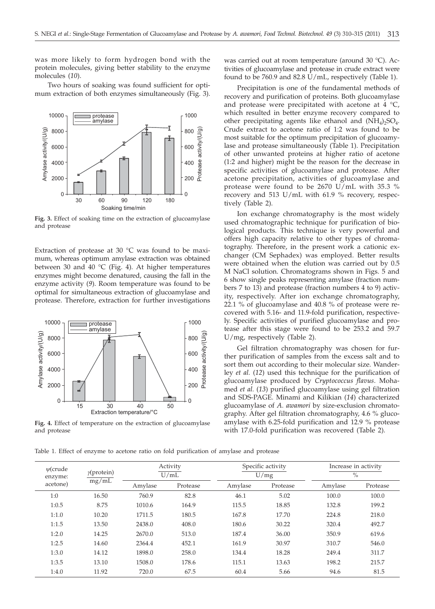was more likely to form hydrogen bond with the protein molecules, giving better stability to the enzyme molecules (*10*).

Two hours of soaking was found sufficient for optimum extraction of both enzymes simultaneously (Fig. 3).



**Fig. 3.** Effect of soaking time on the extraction of glucoamylase and protease

Extraction of protease at 30 °C was found to be maximum, whereas optimum amylase extraction was obtained between 30 and 40 °C (Fig. 4). At higher temperatures enzymes might become denatured, causing the fall in the enzyme activity (*9*). Room temperature was found to be optimal for simultaneous extraction of glucoamylase and protease. Therefore, extraction for further investigations



**Fig. 4.** Effect of temperature on the extraction of glucoamylase and protease

was carried out at room temperature (around 30 °C). Activities of glucoamylase and protease in crude extract were found to be 760.9 and 82.8 U/mL, respectively (Table 1).

Precipitation is one of the fundamental methods of recovery and purification of proteins. Both glucoamylase and protease were precipitated with acetone at  $4 \degree C$ , which resulted in better enzyme recovery compared to other precipitating agents like ethanol and  $(NH_4)_2SO_4$ . Crude extract to acetone ratio of 1:2 was found to be most suitable for the optimum precipitation of glucoamylase and protease simultaneously (Table 1). Precipitation of other unwanted proteins at higher ratio of acetone (1:2 and higher) might be the reason for the decrease in specific activities of glucoamylase and protease. After acetone precipitation, activities of glucoamylase and protease were found to be 2670 U/mL with 35.3 % recovery and 513 U/mL with 61.9 % recovery, respectively (Table 2).

Ion exchange chromatography is the most widely used chromatographic technique for purification of biological products. This technique is very powerful and offers high capacity relative to other types of chromatography. Therefore, in the present work a cationic exchanger (CM Sephadex) was employed. Better results were obtained when the elution was carried out by 0.5 M NaCl solution. Chromatograms shown in Figs. 5 and 6 show single peaks representing amylase (fraction numbers 7 to 13) and protease (fraction numbers 4 to 9) activity, respectively. After ion exchange chromatography, 22.1 % of glucoamylase and 40.8 % of protease were recovered with 5.16- and 11.9-fold purification, respectively. Specific activities of purified glucoamylase and protease after this stage were found to be 253.2 and 59.7 U/mg, respectively (Table 2).

Gel filtration chromatography was chosen for further purification of samples from the excess salt and to sort them out according to their molecular size. Wanderley *et al.* (*12*) used this technique for the purification of glucoamylase produced by *Cryptococcus flavus*. Mohamed *et al.* (*13*) purified glucoamylase using gel filtration and SDS-PAGE. Minami and Kilikian (*14*) characterized glucoamylase of *A. awamori* by size-exclusion chromatography. After gel filtration chromatography, 4.6 % glucoamylase with 6.25-fold purification and 12.9 % protease with 17.0-fold purification was recovered (Table 2).

Table 1. Effect of enzyme to acetone ratio on fold purification of amylase and protease

| $\psi$ (crude<br>enzyme:<br>acetone) | $\gamma$ (protein)<br>mg/mL | Activity<br>U/mL |          |         | Specific activity | Increase in activity<br>$\%$ |          |  |
|--------------------------------------|-----------------------------|------------------|----------|---------|-------------------|------------------------------|----------|--|
|                                      |                             |                  |          |         | U/mg              |                              |          |  |
|                                      |                             | Amylase          | Protease | Amylase | Protease          | Amylase                      | Protease |  |
| 1:0                                  | 16.50                       | 760.9            | 82.8     | 46.1    | 5.02              | 100.0                        | 100.0    |  |
| 1:0.5                                | 8.75                        | 1010.6           | 164.9    | 115.5   | 18.85             | 132.8                        | 199.2    |  |
| 1:1.0                                | 10.20                       | 1711.5           | 180.5    | 167.8   | 17.70             | 224.8                        | 218.0    |  |
| 1:1.5                                | 13.50                       | 2438.0           | 408.0    | 180.6   | 30.22             | 320.4                        | 492.7    |  |
| 1:2.0                                | 14.25                       | 2670.0           | 513.0    | 187.4   | 36.00             | 350.9                        | 619.6    |  |
| 1:2.5                                | 14.60                       | 2364.4           | 452.1    | 161.9   | 30.97             | 310.7                        | 546.0    |  |
| 1:3.0                                | 14.12                       | 1898.0           | 258.0    | 134.4   | 18.28             | 249.4                        | 311.7    |  |
| 1:3.5                                | 13.10                       | 1508.0           | 178.6    | 115.1   | 13.63             | 198.2                        | 215.7    |  |
| 1:4.0                                | 11.92                       | 720.0            | 67.5     | 60.4    | 5.66              | 94.6                         | 81.5     |  |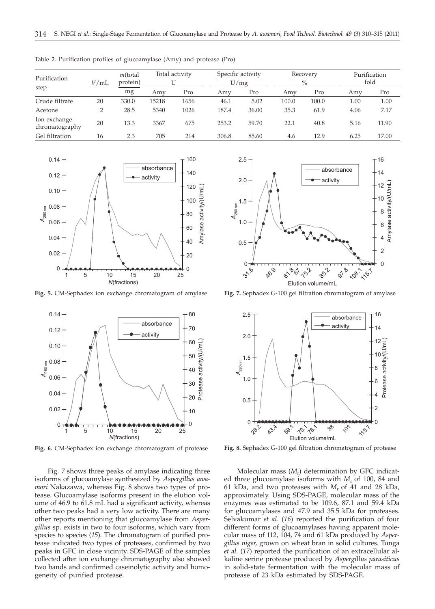| Purification                   | V/mL | $m$ (total<br>protein) | Total activity |      | Specific activity<br>U/mg |       | Recovery<br>$\%$ |       |      | Purification<br>fold |  |
|--------------------------------|------|------------------------|----------------|------|---------------------------|-------|------------------|-------|------|----------------------|--|
| step                           |      | mg                     | Amy            | Pro  | Amv                       | Pro   | Amv              | Pro   | Amv  | Pro                  |  |
| Crude filtrate                 | 20   | 330.0                  | 15218          | 1656 | 46.1                      | 5.02  | 100.0            | 100.0 | 1.00 | 1.00                 |  |
| Acetone                        | ∍    | 28.5                   | 5340           | 1026 | 187.4                     | 36.00 | 35.3             | 61.9  | 4.06 | 7.17                 |  |
| Ion exchange<br>chromatography | 20   | 13.3                   | 3367           | 675  | 253.2                     | 59.70 | 22.1             | 40.8  | 5.16 | 11.90                |  |
| Gel filtration                 | 16   | 2.3                    | 705            | 214  | 306.8                     | 85.60 | 4.6              | 12.9  | 6.25 | 17.00                |  |

Table 2. Purification profiles of glucoamylase (Amy) and protease (Pro)



**Fig. 5.** CM-Sephadex ion exchange chromatogram of amylase



**Fig. 6.** CM-Sephadex ion exchange chromatogram of protease

Fig. 7 shows three peaks of amylase indicating three isoforms of glucoamylase synthesized by *Aspergillus awamori* Nakazawa, whereas Fig. 8 shows two types of protease. Glucoamylase isoforms present in the elution volume of 46.9 to 61.8 mL had a significant activity, whereas other two peaks had a very low activity. There are many other reports mentioning that glucoamylase from *Aspergillus* sp. exists in two to four isoforms, which vary from species to species (*15*). The chromatogram of purified protease indicated two types of proteases, confirmed by two peaks in GFC in close vicinity. SDS-PAGE of the samples collected after ion exchange chromatography also showed two bands and confirmed caseinolytic activity and homogeneity of purified protease.



**Fig. 7.** Sephadex G-100 gel filtration chromatogram of amylase



**Fig. 8.** Sephadex G-100 gel filtration chromatogram of protease

Molecular mass (*M*r) determination by GFC indicated three glucoamylase isoforms with *M*<sup>r</sup> of 100, 84 and 61 kDa, and two proteases with  $M_r$  of 41 and 28 kDa, approximately. Using SDS-PAGE, molecular mass of the enzymes was estimated to be 109.6, 87.1 and 59.4 kDa for glucoamylases and 47.9 and 35.5 kDa for proteases. Selvakumar *et al*. (*16*) reported the purification of four different forms of glucoamylases having apparent molecular mass of 112, 104, 74 and 61 kDa produced by *Aspergillus niger,* grown on wheat bran in solid cultures. Tunga *et al.* (*17*) reported the purification of an extracellular alkaline serine protease produced by *Aspergillus parasiticus* in solid-state fermentation with the molecular mass of protease of 23 kDa estimated by SDS-PAGE.